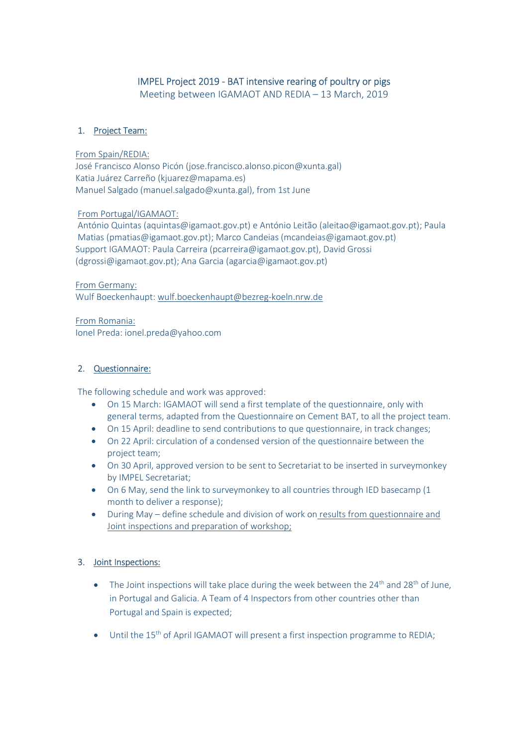# IMPEL Project 2019 - BAT intensive rearing of poultry or pigs

Meeting between IGAMAOT AND REDIA – 13 March, 2019

# 1. Project Team:

#### From Spain/REDIA:

José Francisco Alonso Picón (jose.francisco.alonso.picon@xunta.gal) Katia Juárez Carreño (kjuarez@mapama.es) Manuel Salgado (manuel.salgado@xunta.gal), from 1st June

### From Portugal/IGAMAOT:

António Quintas (aquintas@igamaot.gov.pt) e António Leitão (aleitao@igamaot.gov.pt); Paula Matias (pmatias@igamaot.gov.pt); Marco Candeias (mcandeias@igamaot.gov.pt) Support IGAMAOT: Paula Carreira (pcarreira@igamaot.gov.pt), David Grossi (dgrossi@igamaot.gov.pt); Ana Garcia (agarcia@igamaot.gov.pt)

#### From Germany:

Wulf Boeckenhaupt: wulf.boeckenhaupt@bezreg-koeln.nrw.de

From Romania: Ionel Preda: ionel.preda@yahoo.com

### 2. Questionnaire:

The following schedule and work was approved:

- On 15 March: IGAMAOT will send a first template of the questionnaire, only with general terms, adapted from the Questionnaire on Cement BAT, to all the project team.
- On 15 April: deadline to send contributions to que questionnaire, in track changes;
- On 22 April: circulation of a condensed version of the questionnaire between the project team;
- On 30 April, approved version to be sent to Secretariat to be inserted in surveymonkey by IMPEL Secretariat;
- On 6 May, send the link to surveymonkey to all countries through IED basecamp (1 month to deliver a response);
- During May define schedule and division of work on results from questionnaire and Joint inspections and preparation of workshop;

# 3. Joint Inspections:

- The Joint inspections will take place during the week between the  $24<sup>th</sup>$  and  $28<sup>th</sup>$  of June, in Portugal and Galicia. A Team of 4 Inspectors from other countries other than Portugal and Spain is expected;
- Until the 15th of April IGAMAOT will present a first inspection programme to REDIA;